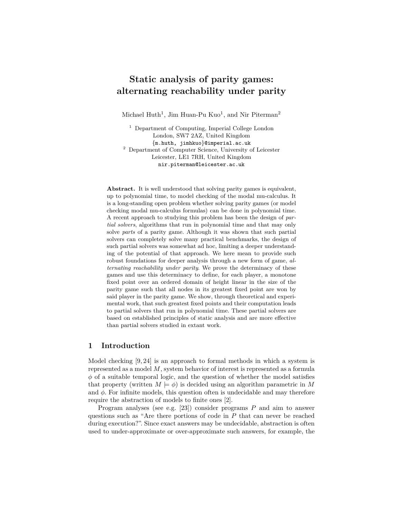# **Static analysis of parity games: alternating reachability under parity**

Michael Huth<sup>1</sup>, Jim Huan-Pu Kuo<sup>1</sup>, and Nir Piterman<sup>2</sup>

<sup>1</sup> Department of Computing, Imperial College London London, SW7 2AZ, United Kingdom {m.huth, jimhkuo}@imperial.ac.uk <sup>2</sup> Department of Computer Science, University of Leicester Leicester, LE1 7RH, United Kingdom nir.piterman@leicester.ac.uk

**Abstract.** It is well understood that solving parity games is equivalent, up to polynomial time, to model checking of the modal mu-calculus. It is a long-standing open problem whether solving parity games (or model checking modal mu-calculus formulas) can be done in polynomial time. A recent approach to studying this problem has been the design of *partial solvers*, algorithms that run in polynomial time and that may only solve *parts* of a parity game. Although it was shown that such partial solvers can completely solve many practical benchmarks, the design of such partial solvers was somewhat ad hoc, limiting a deeper understanding of the potential of that approach. We here mean to provide such robust foundations for deeper analysis through a new form of game, *alternating reachability under parity*. We prove the determinacy of these games and use this determinacy to define, for each player, a monotone fixed point over an ordered domain of height linear in the size of the parity game such that all nodes in its greatest fixed point are won by said player in the parity game. We show, through theoretical and experimental work, that such greatest fixed points and their computation leads to partial solvers that run in polynomial time. These partial solvers are based on established principles of static analysis and are more effective than partial solvers studied in extant work.

## **1 Introduction**

Model checking [9, 24] is an approach to formal methods in which a system is represented as a model *M*, system behavior of interest is represented as a formula *φ* of a suitable temporal logic, and the question of whether the model satisfies that property (written  $M \models \phi$ ) is decided using an algorithm parametric in M and  $\phi$ . For infinite models, this question often is undecidable and may therefore require the abstraction of models to finite ones [2].

Program analyses (see e.g. [23]) consider programs *P* and aim to answer questions such as "Are there portions of code in *P* that can never be reached during execution?". Since exact answers may be undecidable, abstraction is often used to under-approximate or over-approximate such answers, for example, the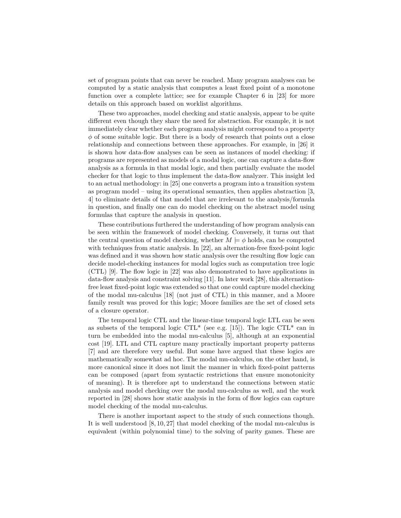set of program points that can never be reached. Many program analyses can be computed by a static analysis that computes a least fixed point of a monotone function over a complete lattice; see for example Chapter 6 in [23] for more details on this approach based on worklist algorithms.

These two approaches, model checking and static analysis, appear to be quite different even though they share the need for abstraction. For example, it is not immediately clear whether each program analysis might correspond to a property *φ* of some suitable logic. But there is a body of research that points out a close relationship and connections between these approaches. For example, in [26] it is shown how data-flow analyses can be seen as instances of model checking: if programs are represented as models of a modal logic, one can capture a data-flow analysis as a formula in that modal logic, and then partially evaluate the model checker for that logic to thus implement the data-flow analyzer. This insight led to an actual methodology: in [25] one converts a program into a transition system as program model – using its operational semantics, then applies abstraction [3, 4] to eliminate details of that model that are irrelevant to the analysis/formula in question, and finally one can do model checking on the abstract model using formulas that capture the analysis in question.

These contributions furthered the understanding of how program analysis can be seen within the framework of model checking. Conversely, it turns out that the central question of model checking, whether  $M \models \phi$  holds, can be computed with techniques from static analysis. In [22], an alternation-free fixed-point logic was defined and it was shown how static analysis over the resulting flow logic can decide model-checking instances for modal logics such as computation tree logic (CTL) [9]. The flow logic in [22] was also demonstrated to have applications in data-flow analysis and constraint solving [11]. In later work [28], this alternationfree least fixed-point logic was extended so that one could capture model checking of the modal mu-calculus [18] (not just of CTL) in this manner, and a Moore family result was proved for this logic; Moore families are the set of closed sets of a closure operator.

The temporal logic CTL and the linear-time temporal logic LTL can be seen as subsets of the temporal logic CTL\* (see e.g. [15]). The logic CTL\* can in turn be embedded into the modal mu-calculus [5], although at an exponential cost [19]. LTL and CTL capture many practically important property patterns [7] and are therefore very useful. But some have argued that these logics are mathematically somewhat ad hoc. The modal mu-calculus, on the other hand, is more canonical since it does not limit the manner in which fixed-point patterns can be composed (apart from syntactic restrictions that ensure monotonicity of meaning). It is therefore apt to understand the connections between static analysis and model checking over the modal mu-calculus as well, and the work reported in [28] shows how static analysis in the form of flow logics can capture model checking of the modal mu-calculus.

There is another important aspect to the study of such connections though. It is well understood [8, 10, 27] that model checking of the modal mu-calculus is equivalent (within polynomial time) to the solving of parity games. These are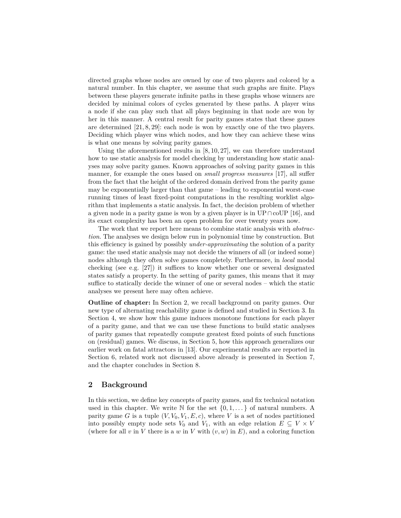directed graphs whose nodes are owned by one of two players and colored by a natural number. In this chapter, we assume that such graphs are finite. Plays between these players generate infinite paths in these graphs whose winners are decided by minimal colors of cycles generated by these paths. A player wins a node if she can play such that all plays beginning in that node are won by her in this manner. A central result for parity games states that these games are determined [21, 8, 29]: each node is won by exactly one of the two players. Deciding which player wins which nodes, and how they can achieve these wins is what one means by solving parity games.

Using the aforementioned results in  $[8, 10, 27]$ , we can therefore understand how to use static analysis for model checking by understanding how static analyses may solve parity games. Known approaches of solving parity games in this manner, for example the ones based on *small progress measures* [17], all suffer from the fact that the height of the ordered domain derived from the parity game may be exponentially larger than that game – leading to exponential worst-case running times of least fixed-point computations in the resulting worklist algorithm that implements a static analysis. In fact, the decision problem of whether a given node in a parity game is won by a given player is in  $UP \cap colUP$  [16], and its exact complexity has been an open problem for over twenty years now.

The work that we report here means to combine static analysis with *abstraction*. The analyses we design below run in polynomial time by construction. But this efficiency is gained by possibly *under-approximating* the solution of a parity game: the used static analysis may not decide the winners of all (or indeed some) nodes although they often solve games completely. Furthermore, in *local* modal checking (see e.g. [27]) it suffices to know whether one or several designated states satisfy a property. In the setting of parity games, this means that it may suffice to statically decide the winner of one or several nodes – which the static analyses we present here may often achieve.

**Outline of chapter:** In Section 2, we recall background on parity games. Our new type of alternating reachability game is defined and studied in Section 3. In Section 4, we show how this game induces monotone functions for each player of a parity game, and that we can use these functions to build static analyses of parity games that repeatedly compute greatest fixed points of such functions on (residual) games. We discuss, in Section 5, how this approach generalizes our earlier work on fatal attractors in [13]. Our experimental results are reported in Section 6, related work not discussed above already is presented in Section 7, and the chapter concludes in Section 8.

## **2 Background**

In this section, we define key concepts of parity games, and fix technical notation used in this chapter. We write  $\mathbb N$  for the set  $\{0, 1, \ldots\}$  of natural numbers. A parity game *G* is a tuple  $(V, V_0, V_1, E, c)$ , where *V* is a set of nodes partitioned into possibly empty node sets  $V_0$  and  $V_1$ , with an edge relation  $E \subseteq V \times V$ (where for all  $v$  in  $V$  there is a  $w$  in  $V$  with  $(v, w)$  in  $E$ ), and a coloring function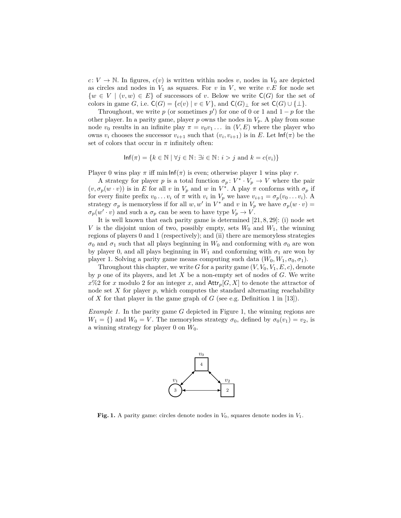$c: V \to \mathbb{N}$ . In figures,  $c(v)$  is written within nodes *v*, nodes in  $V_0$  are depicted as circles and nodes in  $V_1$  as squares. For  $v$  in  $V$ , we write  $v.E$  for node set  $\{w \in V \mid (v, w) \in E\}$  of successors of *v*. Below we write  $\mathsf{C}(G)$  for the set of colors in game *G*, i.e.  $C(G) = \{c(v) | v \in V\}$ , and  $C(G)$ <sub>⊥</sub> for set  $C(G) \cup \{\perp\}$ .

Throughout, we write *p* (or sometimes *p*<sup>'</sup>) for one of 0 or 1 and  $1 - p$  for the other player. In a parity game, player  $p$  owns the nodes in  $V_p$ . A play from some node  $v_0$  results in an infinite play  $\pi = v_0 v_1 \dots$  in  $(V, E)$  where the player who owns  $v_i$  chooses the successor  $v_{i+1}$  such that  $(v_i, v_{i+1})$  is in *E*. Let  $\text{Inf}(\pi)$  be the set of colors that occur in  $\pi$  infinitely often:

$$
\mathsf{Inf}(\pi) = \{ k \in \mathbb{N} \mid \forall j \in \mathbb{N} \colon \exists i \in \mathbb{N} \colon i > j \text{ and } k = c(v_i) \}
$$

Player 0 wins play  $\pi$  iff min  $\text{Inf}(\pi)$  is even; otherwise player 1 wins play *r*.

A strategy for player *p* is a total function  $\sigma_p: V^* \cdot V_p \to V$  where the pair  $(v, \sigma_p(w \cdot v))$  is in *E* for all *v* in  $V_p$  and *w* in  $V^*$ . A play  $\pi$  conforms with  $\sigma_p$  if for every finite prefix  $v_0 \ldots v_i$  of  $\pi$  with  $v_i$  in  $V_p$  we have  $v_{i+1} = \sigma_p(v_0 \ldots v_i)$ . A strategy  $\sigma_p$  is memoryless if for all *w*, *w*<sup>*'*</sup> in  $V^*$  and *v* in  $V_p$  we have  $\sigma_p(w \cdot v)$  =  $\sigma_p(w' \cdot v)$  and such a  $\sigma_p$  can be seen to have type  $V_p \to V$ .

It is well known that each parity game is determined [21, 8, 29]: (i) node set *V* is the disjoint union of two, possibly empty, sets  $W_0$  and  $W_1$ , the winning regions of players 0 and 1 (respectively); and (ii) there are memoryless strategies  $\sigma_0$  and  $\sigma_1$  such that all plays beginning in  $W_0$  and conforming with  $\sigma_0$  are won by player 0, and all plays beginning in  $W_1$  and conforming with  $\sigma_1$  are won by player 1. Solving a parity game means computing such data  $(W_0, W_1, \sigma_0, \sigma_1)$ .

Throughout this chapter, we write *G* for a parity game  $(V, V_0, V_1, E, c)$ , denote by *p* one of its players, and let *X* be a non-empty set of nodes of *G*. We write  $x\%2$  for *x* modulo 2 for an integer *x*, and Attr<sub>p</sub>[*G, X*] to denote the attractor of node set  $X$  for player  $p$ , which computes the standard alternating reachability of *X* for that player in the game graph of *G* (see e.g. Definition 1 in [13]).

*Example 1.* In the parity game *G* depicted in Figure 1, the winning regions are  $W_1 = \{\}\$ and  $W_0 = V$ . The memoryless strategy  $\sigma_0$ , defined by  $\sigma_0(v_1) = v_2$ , is a winning strategy for player 0 on *W*0.



**Fig. 1.** A parity game: circles denote nodes in *V*0, squares denote nodes in *V*1.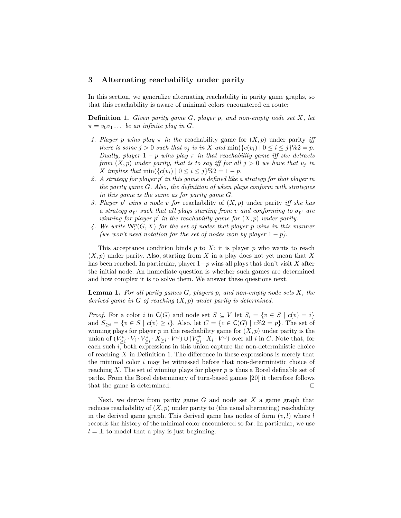#### **3 Alternating reachability under parity**

In this section, we generalize alternating reachability in parity game graphs, so that this reachability is aware of minimal colors encountered en route:

**Definition 1.** *Given parity game G, player p, and non-empty node set X, let*  $\pi = v_0 v_1 \ldots$  *be an infinite play in G.* 

- *1. Player p* wins play  $\pi$  *in the* reachability game for  $(X, p)$  under parity *iff there is some*  $j > 0$  *such that*  $v_j$  *is in*  $X$  *and*  $\min(\{c(v_i) \mid 0 \le i \le j\} \%)2 = p$ *. Dually, player*  $1 - p$  *wins play*  $\pi$  *in that reachability game iff she detracts from*  $(X, p)$  *under parity, that is to say iff for all*  $j > 0$  *we have that*  $v_j$  *in X implies that* min({ $c(v_i)$  |  $0 \le i \le j$ }%2 = 1 − *p.*
- 2. A strategy for player p' in this game is defined like a strategy for that player in *the parity game G. Also, the definition of when plays conform with strategies in this game is the same as for parity game G.*
- 3. Player  $p'$  wins a node *v* for reachability of  $(X, p)$  under parity *iff she has a strategy*  $\sigma_{p'}$  *such that all plays starting from v and conforming to*  $\sigma_{p'}$  *are* winning for player  $p'$  in the reachability game for  $(X, p)$  under parity.
- 4. We write  $\mathsf{W}_r^p(G,X)$  for the set of nodes that player p wins in this manner *(we won't need notation for the set of nodes won by player*  $1 - p$ *).*

This acceptance condition binds  $p$  to  $X$ : it is player  $p$  who wants to reach (*X, p*) under parity. Also, starting from *X* in a play does not yet mean that *X* has been reached. In particular, player 1−*p* wins all plays that don't visit *X* after the initial node. An immediate question is whether such games are determined and how complex it is to solve them. We answer these questions next.

**Lemma 1.** *For all parity games G, players p, and non-empty node sets X, the derived game in G of reaching* (*X, p*) *under parity is determined.*

*Proof.* For a color *i* in  $\mathsf{C}(G)$  and node set  $S \subseteq V$  let  $S_i = \{v \in S \mid c(v) = i\}$ and  $S_{\geq i} = \{v \in S \mid c(v) \geq i\}$ . Also, let  $C = \{c \in \mathsf{C}(G) \mid c\%2 = p\}$ . The set of winning plays for player  $p$  in the reachability game for  $(X, p)$  under parity is the union of  $(V_{\geq i}^* \cdot V_i \cdot V_{\geq i}^* \cdot X_{\geq i} \cdot V^\omega) \cup (V_{\geq i}^+ \cdot X_i \cdot V^\omega)$  over all *i* in *C*. Note that, for each such  $i$ , both expressions in this union capture the non-deterministic choice of reaching *X* in Definition 1. The difference in these expressions is merely that the minimal color *i* may be witnessed before that non-deterministic choice of reaching *X*. The set of winning plays for player *p* is thus a Borel definable set of paths. From the Borel determinacy of turn-based games [20] it therefore follows that the game is determined.  $\Box$ 

Next, we derive from parity game *G* and node set *X* a game graph that reduces reachability of  $(X, p)$  under parity to (the usual alternating) reachability in the derived game graph. This derived game has nodes of form  $(v, l)$  where *l* records the history of the minimal color encountered so far. In particular, we use  $l = \perp$  to model that a play is just beginning.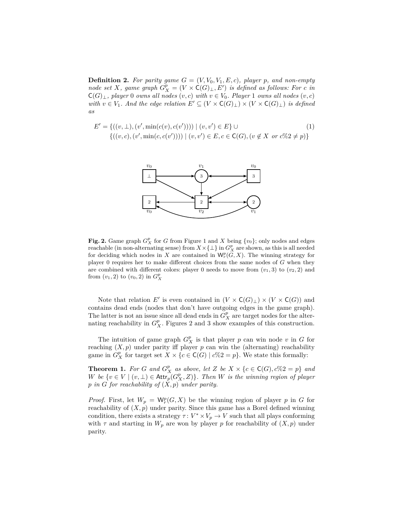**Definition 2.** For parity game  $G = (V, V_0, V_1, E, c)$ , player p, and non-empty *node set X*, game graph  $G_X^p = (V \times \mathsf{C}(G)_\perp, E')$  *is defined as follows: For c in* C(*G*)⊥*, player* 0 *owns all nodes* (*v, c*) *with v* ∈ *V*0*. Player* 1 *owns all nodes* (*v, c*) *with*  $v \in V_1$ *. And the edge relation*  $E' \subseteq (V \times \mathsf{C}(G)_\perp) \times (V \times \mathsf{C}(G)_\perp)$  *is defined as*

$$
E' = \{ ((v, \bot), (v', \min(c(v), c(v')))) \mid (v, v') \in E \} \cup \tag{1}
$$
  

$$
\{ ((v, c), (v', \min(c, c(v')))) \mid (v, v') \in E, c \in \mathsf{C}(G), (v \notin X \text{ or } c\%2 \neq p) \}
$$



Fig. 2. Game graph  $G_X^p$  for *G* from Figure 1 and *X* being  $\{v_0\}$ ; only nodes and edges reachable (in non-alternating sense) from  $X \times \{\perp\}$  in  $G_X^p$  are shown, as this is all needed for deciding which nodes in *X* are contained in  $\mathsf{W}_r^p(G,X)$ . The winning strategy for player 0 requires her to make different choices from the same nodes of *G* when they are combined with different colors: player 0 needs to move from  $(v_1, 3)$  to  $(v_2, 2)$  and from  $(v_1, 2)$  to  $(v_0, 2)$  in  $G_X^p$ 

Note that relation E' is even contained in  $(V \times C(G)_{\perp}) \times (V \times C(G))$  and contains dead ends (nodes that don't have outgoing edges in the game graph). The latter is not an issue since all dead ends in  $G_X^p$  are target nodes for the alternating reachability in  $G_X^p$ . Figures 2 and 3 show examples of this construction.

The intuition of game graph  $G_X^p$  is that player  $p$  can win node  $v$  in  $G$  for reaching  $(X, p)$  under parity iff player  $p$  can win the (alternating) reachability game in  $G_X^p$  for target set  $X \times \{c \in \mathsf{C}(G) \mid c\%2 = p\}$ . We state this formally:

**Theorem 1.** For *G* and  $G_X^p$  as above, let *Z* be  $X \times \{c \in \mathsf{C}(G), c\%2 = p\}$  and *W be*  $\{v \in V \mid (v, \perp) \in \text{Attr}_p(G_X^p, Z)\}$ *. Then W is the winning region of player p in G for reachability of* (*X, p*) *under parity.*

*Proof.* First, let  $W_p = W_r^p(G, X)$  be the winning region of player *p* in *G* for reachability of  $(X, p)$  under parity. Since this game has a Borel defined winning condition, there exists a strategy  $\tau: V^* \times V_p \to V$  such that all plays conforming with  $\tau$  and starting in  $W_p$  are won by player p for reachability of  $(X, p)$  under parity.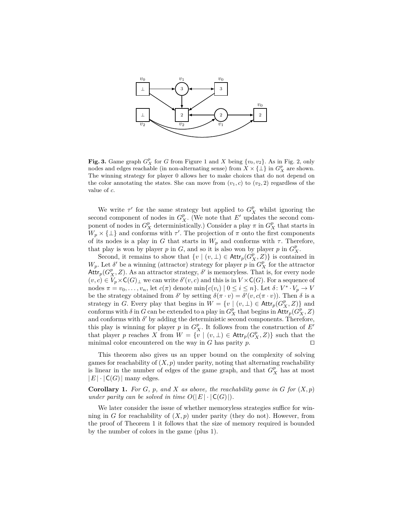

**Fig. 3.** Game graph  $G_X^p$  for *G* from Figure 1 and *X* being  $\{v_0, v_2\}$ . As in Fig. 2, only nodes and edges reachable (in non-alternating sense) from  $\overline{X} \times {\perp}$  in  $G_X^p$  are shown. The winning strategy for player 0 allows her to make choices that do not depend on the color annotating the states. She can move from  $(v_1, c)$  to  $(v_2, 2)$  regardless of the value of *c*.

We write  $\tau'$  for the same strategy but applied to  $G_X^p$  whilst ignoring the second component of nodes in  $G_X^p$ . (We note that  $E'$  updates the second component of nodes in  $G_X^p$  deterministically.) Consider a play  $\pi$  in  $G_X^p$  that starts in  $W_p \times {\{\perp\}}$  and conforms with  $\tau'$ . The projection of  $\pi$  onto the first components of its nodes is a play in *G* that starts in  $W_p$  and conforms with  $\tau$ . Therefore, that play is won by player *p* in *G*, and so it is also won by player *p* in  $G_X^p$ .

Second, it remains to show that  $\{v \mid (v, \perp) \in \text{Attr}_p(G_X^p, Z)\}$  is contained in *W*<sub>*p*</sub>. Let  $\delta'$  be a winning (attractor) strategy for player *p* in  $G_X^p$  for the attractor  $\text{Attr}_p(G_X^p, Z)$ . As an attractor strategy,  $\delta'$  is memoryless. That is, for every node  $(v, c) \in V_p \times C(G)_\perp$  we can write  $\delta'(v, c)$  and this is in  $V \times C(G)$ . For a sequence of nodes  $\pi = v_0, \ldots, v_n$ , let  $c(\pi)$  denote  $\min\{c(v_i) \mid 0 \le i \le n\}$ . Let  $\delta: V^* \cdot V_p \to V$ be the strategy obtained from  $\delta'$  by setting  $\delta(\pi \cdot v) = \delta'(v, c(\pi \cdot v))$ . Then  $\delta$  is a strategy in *G*. Every play that begins in  $W = \{v \mid (v, \perp) \in \text{Attr}_p(G_X^p, Z)\}$  and conforms with  $\delta$  in *G* can be extended to a play in  $G_X^p$  that begins in  $\text{Attr}_p(G_X^p, Z)$ and conforms with  $\delta'$  by adding the deterministic second components. Therefore, this play is winning for player *p* in  $G_X^p$ . It follows from the construction of  $E'$ that player *p* reaches *X* from  $W = \{v \mid (v, \perp) \in \text{Attr}_p(G_X^p, Z)\}$  such that the minimal color encountered on the way in  $G$  has parity  $p$ .

This theorem also gives us an upper bound on the complexity of solving games for reachability of  $(X, p)$  under parity, noting that alternating reachability is linear in the number of edges of the game graph, and that  $G_X^p$  has at most  $|E| \cdot |C(G)|$  many edges.

**Corollary 1.** For  $G$ *, p, and*  $X$  *as above, the reachability game in*  $G$  *for*  $(X, p)$ *under parity can be solved in time*  $O(|E| \cdot |C(G)|)$ *.* 

We later consider the issue of whether memoryless strategies suffice for winning in *G* for reachability of  $(X, p)$  under parity (they do not). However, from the proof of Theorem 1 it follows that the size of memory required is bounded by the number of colors in the game (plus 1).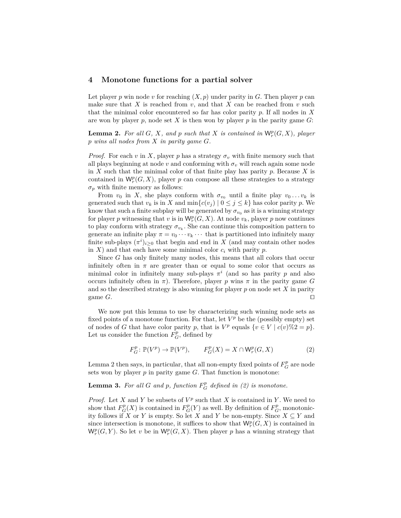#### **4 Monotone functions for a partial solver**

Let player  $p$  win node  $v$  for reaching  $(X, p)$  under parity in  $G$ . Then player  $p$  can make sure that *X* is reached from *v*, and that *X* can be reached from *v* such that the minimal color encountered so far has color parity *p*. If all nodes in *X* are won by player  $p$ , node set  $X$  is then won by player  $p$  in the parity game  $G$ :

**Lemma 2.** For all  $G$ *, X,* and  $p$  *such that*  $X$  *is contained in*  $W_r^p(G, X)$ *, player p wins all nodes from X in parity game G.*

*Proof.* For each *v* in *X*, player *p* has a strategy  $\sigma_v$  with finite memory such that all plays beginning at node *v* and conforming with  $\sigma_v$  will reach again some node in *X* such that the minimal color of that finite play has parity *p*. Because *X* is contained in  $\mathsf{W}^p_r(G,X)$ , player *p* can compose all these strategies to a strategy  $\sigma_p$  with finite memory as follows:

From  $v_0$  in *X*, she plays conform with  $\sigma_{v_0}$  until a finite play  $v_0 \ldots v_k$  is generated such that  $v_k$  is in *X* and  $\min\{c(v_j) | 0 \leq j \leq k\}$  has color parity *p*. We know that such a finite subplay will be generated by  $\sigma_{v_0}$  as it is a winning strategy for player *p* witnessing that *v* is in  $\mathsf{W}_r^p(G, X)$ . At node  $v_k$ , player *p* now continues to play conform with strategy  $\sigma_{v_k}$ . She can continue this composition pattern to generate an infinite play  $\pi = v_0 \cdots v_k \cdots$  that is partitioned into infinitely many finite sub-plays  $(\pi^i)_{i\geq 0}$  that begin and end in *X* (and may contain other nodes in  $X$ ) and that each have some minimal color  $c_i$  with parity  $p$ .

Since *G* has only finitely many nodes, this means that all colors that occur infinitely often in  $\pi$  are greater than or equal to some color that occurs as minimal color in infinitely many sub-plays  $\pi^i$  (and so has parity *p* and also occurs infinitely often in *π*). Therefore, player *p* wins *π* in the parity game *G* and so the described strategy is also winning for player *p* on node set *X* in parity game  $G$ .

We now put this lemma to use by characterizing such winning node sets as fixed points of a monotone function. For that, let  $V^p$  be the (possibly empty) set of nodes of *G* that have color parity *p*, that is  $V^p$  equals  $\{v \in V \mid c(v)\%2 = p\}.$ Let us consider the function  $F_G^p$ , defined by

$$
F_G^p: \mathbb{P}(V^p) \to \mathbb{P}(V^p), \qquad F_G^p(X) = X \cap \mathsf{W}_r^p(G, X) \tag{2}
$$

Lemma 2 then says, in particular, that all non-empty fixed points of  $F_G^p$  are node sets won by player  $p$  in parity game  $G$ . That function is monotone:

**Lemma 3.** For all  $G$  and  $p$ , function  $F_G^p$  defined in (2) is monotone.

*Proof.* Let X and Y be subsets of  $V^p$  such that X is contained in Y. We need to show that  $F_G^p(X)$  is contained in  $F_G^p(Y)$  as well. By definition of  $F_G^p$ , monotonicity follows if *X* or *Y* is empty. So let *X* and *Y* be non-empty. Since  $X \subseteq Y$  and since intersection is monotone, it suffices to show that  $\mathsf{W}^p_r(G,X)$  is contained in  $\mathsf{W}^p_r(G, Y)$ . So let *v* be in  $\mathsf{W}^p_r(G, X)$ . Then player *p* has a winning strategy that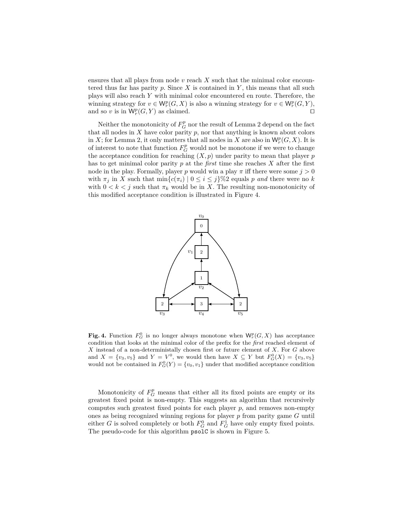ensures that all plays from node *v* reach *X* such that the minimal color encountered thus far has parity *p*. Since *X* is contained in *Y* , this means that all such plays will also reach *Y* with minimal color encountered en route. Therefore, the winning strategy for  $v \in W_r^p(G, X)$  is also a winning strategy for  $v \in W_r^p(G, Y)$ , and so *v* is in  $\mathsf{W}_r^p(G, Y)$  as claimed.

Neither the monotonicity of  $F_G^p$  nor the result of Lemma 2 depend on the fact that all nodes in  $X$  have color parity  $p$ , nor that anything is known about colors in *X*; for Lemma 2, it only matters that all nodes in *X* are also in  $W_r^p(G, X)$ . It is of interest to note that function  $F_G^p$  would not be monotone if we were to change the acceptance condition for reaching  $(X, p)$  under parity to mean that player  $p$ has to get minimal color parity *p* at the *first* time she reaches *X* after the first node in the play. Formally, player *p* would win a play  $\pi$  iff there were some  $j > 0$ with  $\pi_j$  in *X* such that  $\min\{c(\pi_i) \mid 0 \leq i \leq j\}$ %2 equals *p* and there were no *k* with  $0 < k < j$  such that  $\pi_k$  would be in *X*. The resulting non-monotonicity of this modified acceptance condition is illustrated in Figure 4.



**Fig. 4.** Function  $F_G^0$  is no longer always monotone when  $\mathsf{W}_r^p(G,X)$  has acceptance condition that looks at the minimal color of the prefix for the *first* reached element of *X* instead of a non-deterministally chosen first or future element of *X*. For *G* above and  $X = \{v_3, v_5\}$  and  $Y = V^0$ , we would then have  $X \subseteq Y$  but  $F_G^0(X) = \{v_3, v_5\}$ would not be contained in  $F_G^0(Y) = \{v_0, v_1\}$  under that modified acceptance condition

Monotonicity of  $F_G^p$  means that either all its fixed points are empty or its greatest fixed point is non-empty. This suggests an algorithm that recursively computes such greatest fixed points for each player  $p$ , and removes non-empty ones as being recognized winning regions for player *p* from parity game *G* until either *G* is solved completely or both  $F_G^0$  and  $F_G^1$  have only empty fixed points. The pseudo-code for this algorithm psolC is shown in Figure 5.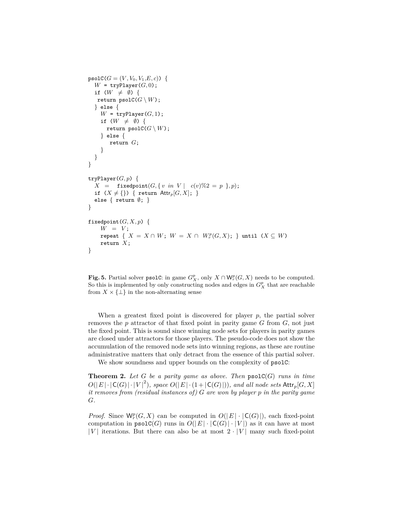```
\text{psolC}(G = (V, V_0, V_1, E, c)) {
    W = \text{tryPlayer}(G, 0);if (W \neq \emptyset) {
      return psolC(G \setminus W);
     } else {
         W = \text{tryPlayer}(G, 1);if (W \neq \emptyset) {
             return psolC(G \setminus W);
         } else {
                return G;
         }
    }
}
tryPlayer(G, p) {
     X = fixedpoint(G, \{ v \in W | c(v) \% 2 = p \}, p);if (X \neq \{\}) { return Attr<sub>p</sub>[G,X]; }
    else { return \emptyset; }
}
fixedpoint(G, X, p) {
         W = V;\mathbf{f} = \mathbf{f} \times \mathbf{f} \times \mathbf{f} \times \mathbf{f} \times \mathbf{f} \times \mathbf{f} \times \mathbf{f} \times \mathbf{f} \times \mathbf{f} \times \mathbf{f} \times \mathbf{f} \times \mathbf{f} \times \mathbf{f} \times \mathbf{f} \times \mathbf{f} \times \mathbf{f} \times \mathbf{f} \times \mathbf{f} \times \mathbf{f} \times \mathbf{f} \times \mathbf{f} \times \mathbf{f} \times \mathbf{f} \times \mathbf{f} \times \mathbf{f} \times \mathbf{f} \times \mathbf{freturn X;
}
```
**Fig. 5.** Partial solver psolC: in game  $G_X^p$ , only  $X \cap W_r^p(G, X)$  needs to be computed. So this is implemented by only constructing nodes and edges in  $G_X^p$  that are reachable from  $X \times {\{\perp\}}$  in the non-alternating sense

When a greatest fixed point is discovered for player  $p$ , the partial solver removes the *p* attractor of that fixed point in parity game *G* from *G*, not just the fixed point. This is sound since winning node sets for players in parity games are closed under attractors for those players. The pseudo-code does not show the accumulation of the removed node sets into winning regions, as these are routine administrative matters that only detract from the essence of this partial solver.

We show soundness and upper bounds on the complexity of psolC:

**Theorem 2.** Let  $G$  be a parity game as above. Then  $\text{psolC}(G)$  runs in time  $O(|E| \cdot |\mathsf{C}(G)| \cdot |V|^2)$ *, space*  $O(|E| \cdot (1 + |\mathsf{C}(G)|))$ *, and all node sets*  $\mathsf{Attr}_p[G, X]$ *it removes from (residual instances of) G are won by player p in the parity game G.*

*Proof.* Since  $\mathsf{W}_r^p(G,X)$  can be computed in  $O(|E| \cdot |\mathsf{C}(G)|)$ , each fixed-point computation in  $\text{psolC}(G)$  runs in  $O(|E| \cdot |C(G)| \cdot |V|)$  as it can have at most |*V*| iterations. But there can also be at most  $2 \cdot |V|$  many such fixed-point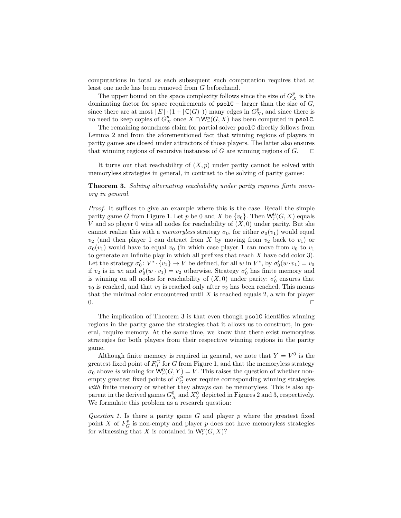computations in total as each subsequent such computation requires that at least one node has been removed from *G* beforehand.

The upper bound on the space complexity follows since the size of  $G_X^p$  is the dominating factor for space requirements of psolC – larger than the size of *G*, since there are at most  $|E| \cdot (1 + |C(G)|)$  many edges in  $G_X^p$ , and since there is no need to keep copies of  $G_X^p$  once  $X \cap W_r^p(G, X)$  has been computed in psolC.

The remaining soundness claim for partial solver psolC directly follows from Lemma 2 and from the aforementioned fact that winning regions of players in parity games are closed under attractors of those players. The latter also ensures that winning regions of recursive instances of  $G$  are winning regions of  $G$ .  $\Box$ 

It turns out that reachability of  $(X, p)$  under parity cannot be solved with memoryless strategies in general, in contrast to the solving of parity games:

#### **Theorem 3.** *Solving alternating reachability under parity requires finite memory in general.*

*Proof.* It suffices to give an example where this is the case. Recall the simple parity game *G* from Figure 1. Let *p* be 0 and *X* be  $\{v_0\}$ . Then  $\mathsf{W}_r^0(G,X)$  equals *V* and so player 0 wins all nodes for reachability of  $(X, 0)$  under parity. But she cannot realize this with a *memoryless* strategy  $\sigma_0$ , for either  $\sigma_0(v_1)$  would equal  $v_2$  (and then player 1 can detract from *X* by moving from  $v_2$  back to  $v_1$ ) or  $\sigma_0(v_1)$  would have to equal  $v_0$  (in which case player 1 can move from  $v_0$  to  $v_1$ to generate an infinite play in which all prefixes that reach *X* have odd color 3). Let the strategy  $\sigma'_0$ :  $V^* \cdot \{v_1\} \to V$  be defined, for all *w* in  $V^*$ , by  $\sigma'_0(w \cdot v_1) = v_0$ if  $v_2$  is in *w*; and  $\sigma'_0(w \cdot v_1) = v_2$  otherwise. Strategy  $\sigma'_0$  has finite memory and is winning on all nodes for reachability of  $(X, 0)$  under parity:  $\sigma'_{0}$  ensures that  $v_0$  is reached, and that  $v_0$  is reached only after  $v_2$  has been reached. This means that the minimal color encountered until *X* is reached equals 2, a win for player  $0.$ 

The implication of Theorem 3 is that even though psolC identifies winning regions in the parity game the strategies that it allows us to construct, in general, require memory. At the same time, we know that there exist memoryless strategies for both players from their respective winning regions in the parity game.

Although finite memory is required in general, we note that  $Y = V^0$  is the greatest fixed point of  $F_0^G$  for *G* from Figure 1, and that the memoryless strategy  $\sigma_0$  above *is* winning for  $\mathsf{W}_r^0(G, Y) = V$ . This raises the question of whether nonempty greatest fixed points of  $F_G^p$  ever require corresponding winning strategies *with* finite memory or whether they always can be memoryless. This is also apparent in the derived games  $G_X^0$  and  $X_Y^0$  depicted in Figures 2 and 3, respectively. We formulate this problem as a research question:

*Question 1.* Is there a parity game *G* and player *p* where the greatest fixed point *X* of  $F_G^p$  is non-empty and player *p* does not have memoryless strategies for witnessing that *X* is contained in  $\mathsf{W}_r^p(G,X)$ ?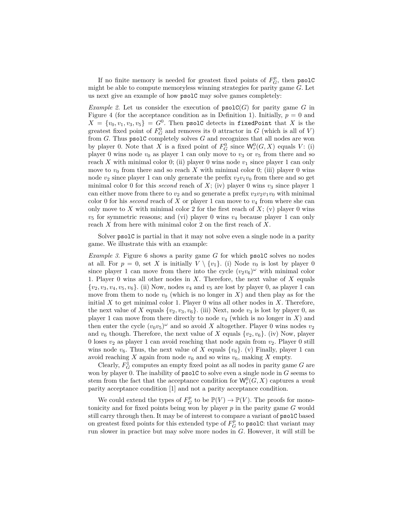If no finite memory is needed for greatest fixed points of  $F_G^p$ , then psolC might be able to compute memoryless winning strategies for parity game *G*. Let us next give an example of how psolC may solve games completely:

*Example 2.* Let us consider the execution of  $\text{psolC}(G)$  for parity game *G* in Figure 4 (for the acceptance condition as in Definition 1). Initially,  $p = 0$  and  $X = \{v_0, v_1, v_3, v_5\} = G^0$ . Then psolC detects in fixedPoint that *X* is the greatest fixed point of  $F_G^0$  and removes its 0 attractor in  $G$  (which is all of  $V$ ) from *G*. Thus psolC completely solves *G* and recognizes that all nodes are won by player 0. Note that *X* is a fixed point of  $F_G^0$  since  $\mathsf{W}_r^0(G,X)$  equals *V*: (i) player 0 wins node  $v_0$  as player 1 can only move to  $v_3$  or  $v_5$  from there and so reach X with minimal color 0; (ii) player 0 wins node  $v_1$  since player 1 can only move to  $v_0$  from there and so reach X with minimal color 0; (iii) player 0 wins node  $v_2$  since player 1 can only generate the prefix  $v_2v_1v_0$  from there and so get minimal color 0 for this *second* reach of  $X$ ; (iv) player 0 wins  $v_3$  since player 1 can either move from there to  $v_2$  and so generate a prefix  $v_3v_2v_1v_0$  with minimal color 0 for his *second* reach of *X* or player 1 can move to *v*<sup>4</sup> from where she can only move to  $X$  with minimal color 2 for the first reach of  $X$ ; (v) player 0 wins  $v_5$  for symmetric reasons; and (vi) player 0 wins  $v_4$  because player 1 can only reach *X* from here with minimal color 2 on the first reach of *X*.

Solver psolC is partial in that it may not solve even a single node in a parity game. We illustrate this with an example:

*Example 3.* Figure 6 shows a parity game *G* for which psolC solves no nodes at all. For  $p = 0$ , set X is initially  $V \setminus \{v_1\}$ . (i) Node  $v_0$  is lost by player 0 since player 1 can move from there into the cycle  $(v_2v_6)^\omega$  with minimal color 1. Player 0 wins all other nodes in *X*. Therefore, the next value of *X* equals  $\{v_2, v_3, v_4, v_5, v_6\}$ . (ii) Now, nodes  $v_4$  and  $v_5$  are lost by player 0, as player 1 can move from them to node  $v_0$  (which is no longer in X) and then play as for the initial  $X$  to get minimal color 1. Player 0 wins all other nodes in  $X$ . Therefore, the next value of X equals  $\{v_2, v_3, v_6\}$ . (iii) Next, node  $v_3$  is lost by player 0, as player 1 can move from there directly to node  $v_4$  (which is no longer in  $X$ ) and then enter the cycle  $(v_0v_5)^\omega$  and so avoid X altogether. Player 0 wins nodes  $v_2$ and  $v_6$  though. Therefore, the next value of *X* equals  $\{v_2, v_6\}$ . (iv) Now, player 0 loses  $v_2$  as player 1 can avoid reaching that node again from  $v_2$ . Player 0 still wins node  $v_6$ . Thus, the next value of *X* equals  $\{v_6\}$ . (v) Finally, player 1 can avoid reaching *X* again from node  $v_6$  and so wins  $v_6$ , making *X* empty.

Clearly,  $F_G^1$  computes an empty fixed point as all nodes in parity game  $G$  are won by player 0. The inability of psolC to solve even a single node in *G* seems to stem from the fact that the acceptance condition for  $\mathsf{W}^0_r(G,X)$  captures a *weak* parity acceptance condition [1] and not a parity acceptance condition.

We could extend the types of  $F_G^p$  to be  $\mathbb{P}(V) \to \mathbb{P}(V)$ . The proofs for monotonicity and for fixed points being won by player *p* in the parity game *G* would still carry through then. It may be of interest to compare a variant of psolC based on greatest fixed points for this extended type of  $F_G^p$  to psolC: that variant may run slower in practice but may solve more nodes in *G*. However, it will still be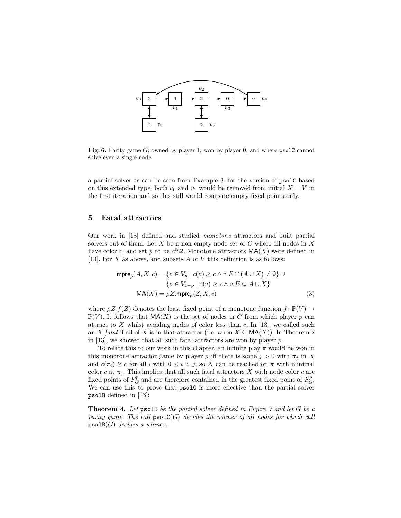

**Fig. 6.** Parity game *G*, owned by player 1, won by player 0, and where psolC cannot solve even a single node

a partial solver as can be seen from Example 3: for the version of psolC based on this extended type, both  $v_0$  and  $v_1$  would be removed from initial  $X = V$  in the first iteration and so this still would compute empty fixed points only.

#### **5 Fatal attractors**

Our work in [13] defined and studied *monotone* attractors and built partial solvers out of them. Let *X* be a non-empty node set of *G* where all nodes in *X* have color *c*, and set *p* to be  $c\%2$ . Monotone attractors  $MA(X)$  were defined in [13]. For *X* as above, and subsets *A* of *V* this definition is as follows:

$$
mprep(A, X, c) = \{v \in V_p \mid c(v) \ge c \land v.E \cap (A \cup X) \neq \emptyset\} \cup
$$

$$
\{v \in V_{1-p} \mid c(v) \ge c \land v.E \subseteq A \cup X\}
$$

$$
MA(X) = \mu Z.mprep(Z, X, c)
$$
(3)

where  $\mu Z.f(Z)$  denotes the least fixed point of a monotone function  $f : \mathbb{P}(V) \to$  $\mathbb{P}(V)$ . It follows that  $\mathsf{MA}(X)$  is the set of nodes in *G* from which player *p* can attract to *X* whilst avoiding nodes of color less than *c*. In [13], we called such an *X fatal* if all of *X* is in that attractor (i.e. when  $X \subseteq MA(X)$ ). In Theorem 2 in [13], we showed that all such fatal attractors are won by player *p*.

To relate this to our work in this chapter, an infinite play *π* would be won in this monotone attractor game by player *p* iff there is some  $j > 0$  with  $\pi_j$  in X and  $c(\pi_i) \geq c$  for all *i* with  $0 \leq i \leq j$ ; so X can be reached on  $\pi$  with minimal color  $c$  at  $\pi_j$ . This implies that all such fatal attractors  $X$  with node color  $c$  are fixed points of  $F_G^p$  and are therefore contained in the greatest fixed point of  $F_G^p$ . We can use this to prove that  $psolC$  is more effective than the partial solver psolB defined in [13]:

**Theorem 4.** *Let* psolB *be the partial solver defined in Figure 7 and let G be a parity game. The call* psolC(*G*) *decides the winner of all nodes for which call* psolB(*G*) *decides a winner.*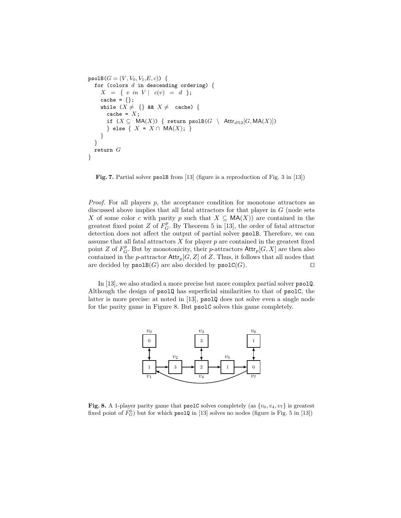```
\text{pso1B}(G = (V, V_0, V_1, E, c)) {
  for (colors d in descending ordering) {
    X = \{ v \in V \mid c(v) = d \};
    cache = \{\};
    while (X \neq \{\} && X \neq \emptyset cache) {
       \text{cache} = X;if (X ⊆ MA(X)) { return psolB(G \ Attrd%2[G, MA(X)])
       } else { X = X ∩ MA(X); }
    }
  }
  return G
}
```
Fig. 7. Partial solver psolB from [13] (figure is a reproduction of Fig. 3 in [13])

*Proof.* For all players *p*, the acceptance condition for monotone attractors as discussed above implies that all fatal attractors for that player in *G* (node sets *X* of some color *c* with parity *p* such that  $X \subseteq MA(X)$  are contained in the greatest fixed point *Z* of  $F_G^p$ . By Theorem 5 in [13], the order of fatal attractor detection does not affect the output of partial solver psolB. Therefore, we can assume that all fatal attractors *X* for player *p* are contained in the greatest fixed point *Z* of  $F_G^p$ . But by monotonicity, their *p*-attractors  $\text{Attr}_p[G, X]$  are then also contained in the *p*-attractor  $\text{Attr}_p[G, Z]$  of *Z*. Thus, it follows that all nodes that are decided by  $\text{psolB}(G)$  are also decided by  $\text{psolC}(G)$ .

In [13], we also studied a more precise but more complex partial solver psolQ. Although the design of psolQ has superficial similarities to that of psolC, the latter is more precise: at noted in [13], psolQ does not solve even a single node for the parity game in Figure 8. But psolC solves this game completely.



**Fig. 8.** A 1-player parity game that **psolC** solves completely (as  $\{v_0, v_4, v_7\}$  is greatest fixed point of  $F_G^0$ ) but for which psolQ in [13] solves no nodes (figure is Fig. 5 in [13])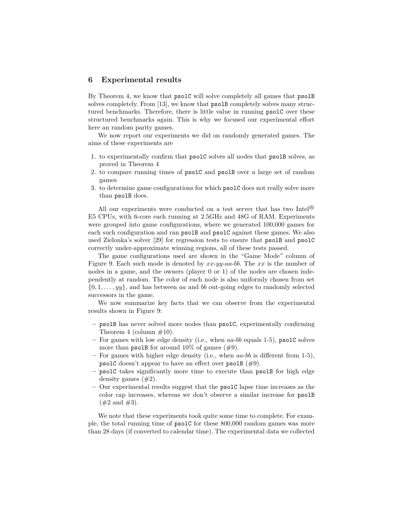#### **6 Experimental results**

By Theorem 4, we know that psolC will solve completely all games that psolB solves completely. From [13], we know that **psolB** completely solves many structured benchmarks. Therefore, there is little value in running psolC over these structured benchmarks again. This is why we focused our experimental effort here an random parity games.

We now report our experiments we did on randomly generated games. The aims of these experiments are

- 1. to experimentally confirm that psolC solves all nodes that psolB solves, as proved in Theorem 4
- 2. to compare running times of psolC and psolB over a large set of random games
- 3. to determine game configurations for which psolC does not really solve more than psolB does.

All our experiments were conducted on a test server that has two Intel<sup>®</sup> E5 CPUs, with 6-core each running at 2.5GHz and 48G of RAM. Experiments were grouped into game configurations, where we generated 100*,*000 games for each such configuration and ran psolB and psolC against these games. We also used Zielonka's solver [29] for regression tests to ensure that psolB and psolC correctly under-approximate winning regions, all of these tests passed.

The game configurations used are shown in the "Game Mode" column of Figure 9. Each such mode is denoted by *xx*-*yy*-*aa*-*bb*. The *xx* is the number of nodes in a game, and the owners (player 0 or 1) of the nodes are chosen independently at random. The color of each node is also uniformly chosen from set  $\{0, 1, \ldots, yy\}$ , and has between *aa* and *bb* out-going edges to randomly selected successors in the game.

We now summarize key facts that we can observe from the experimental results shown in Figure 9:

- **–** psolB has never solved more nodes than psolC, experimentally confirming Theorem 4 (column  $#10$ ).
- **–** For games with low edge density (i.e., when *aa*-*bb* equals 1-5), psolC solves more than **psolB** for around 10% of games  $(\#9)$ .
- **–** For games with higher edge density (i.e., when *aa*-*bb* is different from 1-5), psolC doesn't appear to have an effect over psolB  $(\#9)$ .
- **–** psolC takes significantly more time to execute than psolB for high edge density games (#2).
- **–** Our experimental results suggest that the psolC lapse time increases as the color cap increases, whereas we don't observe a similar increase for psolB  $(\#2 \text{ and } \#3).$

We note that these experiments took quite some time to complete. For example, the total running time of psolC for these 800*,*000 random games was more than 28 days (if converted to calendar time). The experimental data we collected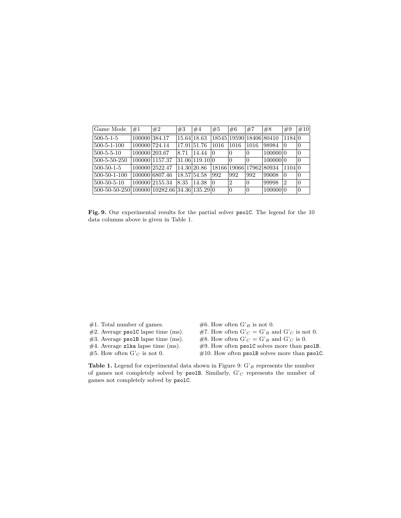| Game Mode                                    | #1            | #2             | #3   | #4             | #5    | #6                      | #7             | #8                | #9             | #10 |
|----------------------------------------------|---------------|----------------|------|----------------|-------|-------------------------|----------------|-------------------|----------------|-----|
| $500 - 5 - 1 - 5$                            | 100000 384.17 |                |      | $15.64$ 18.63  |       | 18545 19590 18406 80410 |                |                   | 1184 0         |     |
| $500 - 5 - 1 - 100$                          | 100000 724.14 |                |      | 17.91 51.76    | 1016  | 1016                    | 1016           | 98984             | 10             | 10  |
| $500 - 5 - 5 - 10$                           | 100000 203.67 |                | 8.71 | 14.44          | 10    | $\theta$                | $\theta$       | 100000 0          |                | 10  |
| 500-5-50-250                                 |               | 100000 1157.37 |      | 31.06 119.10 0 |       |                         | $\overline{0}$ | 100000 0          |                | 10  |
| $500 - 50 - 1 - 5$                           |               | 100000 2522.47 |      | 14.30 20.86    | 18166 |                         |                | 19066117962180934 | 110410         |     |
| $500 - 50 - 1 - 100$                         |               | 100000 6807.46 |      | 18.57 54.58    | 992   | 992                     | 992            | 99008             | 10             | 10  |
| $500 - 50 - 5 - 10$                          |               | 100000 2155.34 | 8.35 | 14.38          | 10    | $\overline{2}$          | $\Omega$       | 99998             | $\overline{2}$ | 10  |
| 500-50-50-250 100000 10282.66 34.36 135.29 0 |               |                |      |                |       | 0                       | 0              | 100000 0          |                | 10  |

**Fig. 9.** Our experimental results for the partial solver psolC. The legend for the 10 data columns above is given in Table 1.

- #1. Total number of games.  $\#6$ . How often G'<sub>B</sub> is not 0.
- 
- #3. Average psolB lapse time (ms). #8. How often  $G'_{C} = G'_{B}$  and  $G'_{C}$  is 0.
- 
- 
- 
- #2. Average psolC lapse time (ms). #7. How often  $G'_{C} = G'_{B}$  and  $G'_{C}$  is not 0.
	-
- $#4$ . Average zlka lapse time (ms).  $#9$ . How often psolC solves more than psolB.
- $#5$ . How often G'<sub>C</sub> is not 0.  $#10$ . How often psolB solves more than psolC.

**Table 1.** Legend for experimental data shown in Figure 9: G'*<sup>B</sup>* represents the number of games not completely solved by psolB. Similarly, G'*<sup>C</sup>* represents the number of games not completely solved by psolC.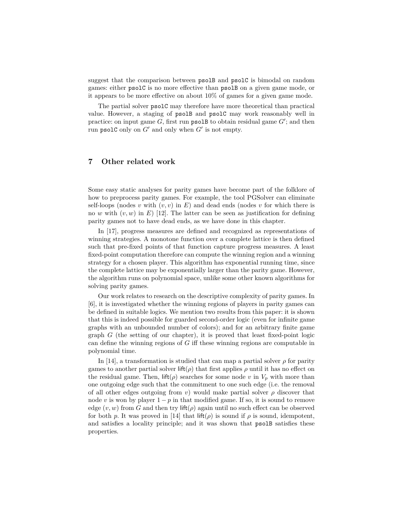suggest that the comparison between psolB and psolC is bimodal on random games: either psolC is no more effective than psolB on a given game mode, or it appears to be more effective on about 10% of games for a given game mode.

The partial solver psolC may therefore have more theoretical than practical value. However, a staging of psolB and psolC may work reasonably well in practice: on input game  $G$ , first run **psolB** to obtain residual game  $G'$ ; and then run psolC only on  $G'$  and only when  $G'$  is not empty.

# **7 Other related work**

Some easy static analyses for parity games have become part of the folklore of how to preprocess parity games. For example, the tool PGSolver can eliminate self-loops (nodes *v* with  $(v, v)$  in  $E$ ) and dead ends (nodes *v* for which there is no *w* with  $(v, w)$  in *E*) [12]. The latter can be seen as justification for defining parity games not to have dead ends, as we have done in this chapter.

In [17], progress measures are defined and recognized as representations of winning strategies. A monotone function over a complete lattice is then defined such that pre-fixed points of that function capture progress measures. A least fixed-point computation therefore can compute the winning region and a winning strategy for a chosen player. This algorithm has exponential running time, since the complete lattice may be exponentially larger than the parity game. However, the algorithm runs on polynomial space, unlike some other known algorithms for solving parity games.

Our work relates to research on the descriptive complexity of parity games. In [6], it is investigated whether the winning regions of players in parity games can be defined in suitable logics. We mention two results from this paper: it is shown that this is indeed possible for guarded second-order logic (even for infinite game graphs with an unbounded number of colors); and for an arbitrary finite game graph *G* (the setting of our chapter), it is proved that least fixed-point logic can define the winning regions of *G* iff these winning regions are computable in polynomial time.

In [14], a transformation is studied that can map a partial solver  $\rho$  for parity games to another partial solver lift( $\rho$ ) that first applies  $\rho$  until it has no effect on the residual game. Then,  $\text{lift}(\rho)$  searches for some node *v* in  $V_p$  with more than one outgoing edge such that the commitment to one such edge (i.e. the removal of all other edges outgoing from *v*) would make partial solver  $\rho$  discover that node *v* is won by player  $1 - p$  in that modified game. If so, it is sound to remove edge  $(v, w)$  from *G* and then try lift( $\rho$ ) again until no such effect can be observed for both *p*. It was proved in [14] that lift( $\rho$ ) is sound if  $\rho$  is sound, idempotent, and satisfies a locality principle; and it was shown that psolB satisfies these properties.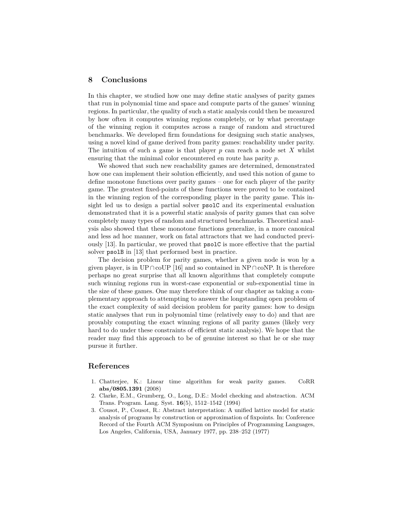#### **8 Conclusions**

In this chapter, we studied how one may define static analyses of parity games that run in polynomial time and space and compute parts of the games' winning regions. In particular, the quality of such a static analysis could then be measured by how often it computes winning regions completely, or by what percentage of the winning region it computes across a range of random and structured benchmarks. We developed firm foundations for designing such static analyses, using a novel kind of game derived from parity games: reachability under parity. The intuition of such a game is that player *p* can reach a node set *X* whilst ensuring that the minimal color encountered en route has parity *p*.

We showed that such new reachability games are determined, demonstrated how one can implement their solution efficiently, and used this notion of game to define monotone functions over parity games – one for each player of the parity game. The greatest fixed-points of these functions were proved to be contained in the winning region of the corresponding player in the parity game. This insight led us to design a partial solver psolC and its experimental evaluation demonstrated that it is a powerful static analysis of parity games that can solve completely many types of random and structured benchmarks. Theoretical analysis also showed that these monotone functions generalize, in a more canonical and less ad hoc manner, work on fatal attractors that we had conducted previously [13]. In particular, we proved that psolC is more effective that the partial solver psolB in [13] that performed best in practice.

The decision problem for parity games, whether a given node is won by a given player, is in UP∩coUP [16] and so contained in NP∩coNP. It is therefore perhaps no great surprise that all known algorithms that completely compute such winning regions run in worst-case exponential or sub-exponential time in the size of these games. One may therefore think of our chapter as taking a complementary approach to attempting to answer the longstanding open problem of the exact complexity of said decision problem for parity games: how to design static analyses that run in polynomial time (relatively easy to do) and that are provably computing the exact winning regions of all parity games (likely very hard to do under these constraints of efficient static analysis). We hope that the reader may find this approach to be of genuine interest so that he or she may pursue it further.

### **References**

- 1. Chatterjee, K.: Linear time algorithm for weak parity games. CoRR **abs/0805.1391** (2008)
- 2. Clarke, E.M., Grumberg, O., Long, D.E.: Model checking and abstraction. ACM Trans. Program. Lang. Syst. **16**(5), 1512–1542 (1994)
- 3. Cousot, P., Cousot, R.: Abstract interpretation: A unified lattice model for static analysis of programs by construction or approximation of fixpoints. In: Conference Record of the Fourth ACM Symposium on Principles of Programming Languages, Los Angeles, California, USA, January 1977, pp. 238–252 (1977)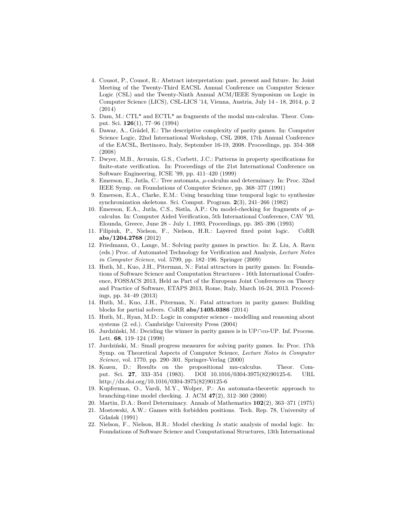- 4. Cousot, P., Cousot, R.: Abstract interpretation: past, present and future. In: Joint Meeting of the Twenty-Third EACSL Annual Conference on Computer Science Logic (CSL) and the Twenty-Ninth Annual ACM/IEEE Symposium on Logic in Computer Science (LICS), CSL-LICS '14, Vienna, Austria, July 14 - 18, 2014, p. 2 (2014)
- 5. Dam, M.: CTL\* and ECTL\* as fragments of the modal mu-calculus. Theor. Comput. Sci. **126**(1), 77–96 (1994)
- 6. Dawar, A., Grädel, E.: The descriptive complexity of parity games. In: Computer Science Logic, 22nd International Workshop, CSL 2008, 17th Annual Conference of the EACSL, Bertinoro, Italy, September 16-19, 2008. Proceedings, pp. 354–368 (2008)
- 7. Dwyer, M.B., Avrunin, G.S., Corbett, J.C.: Patterns in property specifications for finite-state verification. In: Proceedings of the 21st International Conference on Software Engineering, ICSE '99, pp. 411–420 (1999)
- 8. Emerson, E., Jutla, C.: Tree automata, *µ*-calculus and determinacy. In: Proc. 32nd IEEE Symp. on Foundations of Computer Science, pp. 368–377 (1991)
- 9. Emerson, E.A., Clarke, E.M.: Using branching time temporal logic to synthesize synchronization skeletons. Sci. Comput. Program. **2**(3), 241–266 (1982)
- 10. Emerson, E.A., Jutla, C.S., Sistla, A.P.: On model-checking for fragments of *µ*calculus. In: Computer Aided Verification, 5th International Conference, CAV '93, Elounda, Greece, June 28 - July 1, 1993, Proceedings, pp. 385–396 (1993)
- 11. Filipiuk, P., Nielson, F., Nielson, H.R.: Layered fixed point logic. CoRR **abs/1204.2768** (2012)
- 12. Friedmann, O., Lange, M.: Solving parity games in practice. In: Z. Liu, A. Ravn (eds.) Proc. of Automated Technology for Verification and Analysis, *Lecture Notes in Computer Science*, vol. 5799, pp. 182–196. Springer (2009)
- 13. Huth, M., Kuo, J.H., Piterman, N.: Fatal attractors in parity games. In: Foundations of Software Science and Computation Structures - 16th International Conference, FOSSACS 2013, Held as Part of the European Joint Conferences on Theory and Practice of Software, ETAPS 2013, Rome, Italy, March 16-24, 2013. Proceedings, pp. 34–49 (2013)
- 14. Huth, M., Kuo, J.H., Piterman, N.: Fatal attractors in parity games: Building blocks for partial solvers. CoRR **abs/1405.0386** (2014)
- 15. Huth, M., Ryan, M.D.: Logic in computer science modelling and reasoning about systems (2. ed.). Cambridge University Press (2004)
- 16. Jurdziński, M.: Deciding the winner in parity games is in UP $\cap$ co-UP. Inf. Process. Lett. **68**, 119–124 (1998)
- 17. Jurdziński, M.: Small progress measures for solving parity games. In: Proc. 17th Symp. on Theoretical Aspects of Computer Science, *Lecture Notes in Computer Science*, vol. 1770, pp. 290–301. Springer-Verlag (2000)
- 18. Kozen, D.: Results on the propositional mu-calculus. Theor. Comput. Sci. **27**, 333–354 (1983). DOI 10.1016/0304-3975(82)90125-6. URL http://dx.doi.org/10.1016/0304-3975(82)90125-6
- 19. Kupferman, O., Vardi, M.Y., Wolper, P.: An automata-theoretic approach to branching-time model checking. J. ACM **47**(2), 312–360 (2000)
- 20. Martin, D.A.: Borel Determinacy. Annals of Mathematics **102**(2), 363–371 (1975)
- 21. Mostowski, A.W.: Games with forbidden positions. Tech. Rep. 78, University of Gdańsk (1991)
- 22. Nielson, F., Nielson, H.R.: Model checking *Is* static analysis of modal logic. In: Foundations of Software Science and Computational Structures, 13th International